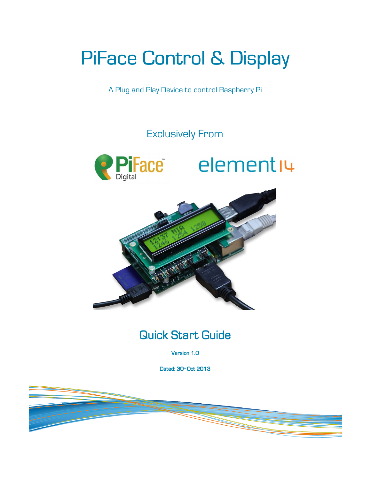# PiFace Control & Display

A Plug and Play Device to control Raspberry Pi

## Exclusively From







# **Quick Start Guide**

Version 1.0

Dated: 30<sup>th</sup> Oct 2013

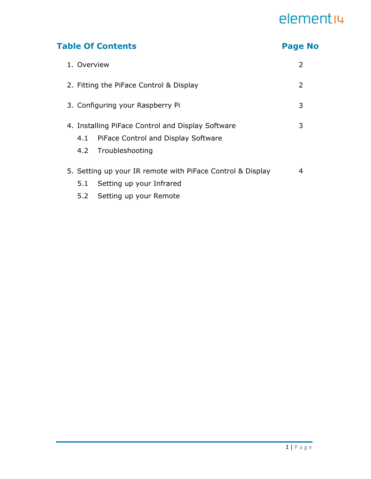### Table Of Contents **Page No. 2018**

| 1. Overview                                                |                                     | 2 |
|------------------------------------------------------------|-------------------------------------|---|
| 2. Fitting the PiFace Control & Display                    |                                     | 2 |
|                                                            | 3. Configuring your Raspberry Pi    | 3 |
| 4. Installing PiFace Control and Display Software          |                                     | 3 |
| 4.1                                                        | PiFace Control and Display Software |   |
|                                                            | 4.2 Troubleshooting                 |   |
| 5. Setting up your IR remote with PiFace Control & Display |                                     | 4 |
| 5.1                                                        | Setting up your Infrared            |   |
| 5.2                                                        | Setting up your Remote              |   |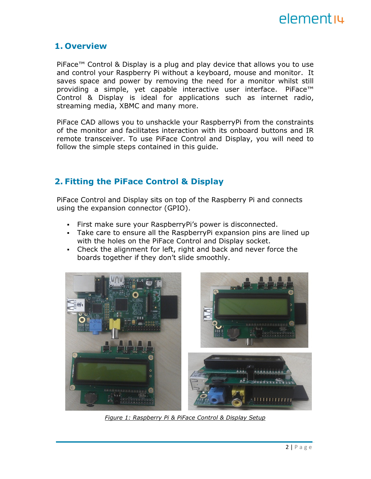

#### 1. Overview

PiFace™ Control & Display is a plug and play device that allows you to use and control your Raspberry Pi without a keyboard, mouse and monitor. It saves space and power by removing the need for a monitor whilst still providing a simple, yet capable interactive user interface. PiFace<sup>™</sup> Control & Display is ideal for applications such as internet radio, streaming media, XBMC and many more.

PiFace CAD allows you to unshackle your RaspberryPi from the constraints of the monitor and facilitates interaction with its onboard buttons and IR remote transceiver. To use PiFace Control and Display, you will need to follow the simple steps contained in this quide.

### 2. Fitting the PiFace Control & Display

PiFace Control and Display sits on top of the Raspberry Pi and connects using the expansion connector (GPIO).

- First make sure your RaspberryPi's power is disconnected.
- Take care to ensure all the RaspberryPi expansion pins are lined up with the holes on the PiFace Control and Display socket.
- Check the alignment for left, right and back and never force the boards together if they don't slide smoothly.



Figure 1: Raspberry Pi & PiFace Control & Display Setup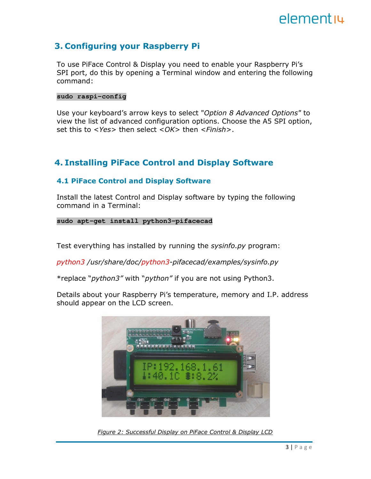### 3. Configuring your Raspberry Pi

To use PiFace Control & Display you need to enable your Raspberry Pi's SPI port, do this by opening a Terminal window and entering the following command:

#### **sudo raspi-config**

Use your keyboard's arrow keys to select "Option 8 Advanced Options" to view the list of advanced configuration options. Choose the A5 SPI option, set this to  $\langle Yes\rangle$  then select  $\langle OK\rangle$  then  $\langle Finish\rangle$ .

### 4. Installing PiFace Control and Display Software

#### 4.1 PiFace Control and Display Software

Install the latest Control and Display software by typing the following command in a Terminal:

#### **sudo apt-get install python3-pifacecad**

Test everything has installed by running the sysinfo.py program:

python3 /usr/share/doc/python3-pifacecad/examples/sysinfo.py

\*replace "*python3"* with "*python"* if you are not using Python3.

Details about your Raspberry Pi's temperature, memory and I.P. address should appear on the LCD screen.



Figure 2: Successful Display on PiFace Control & Display LCD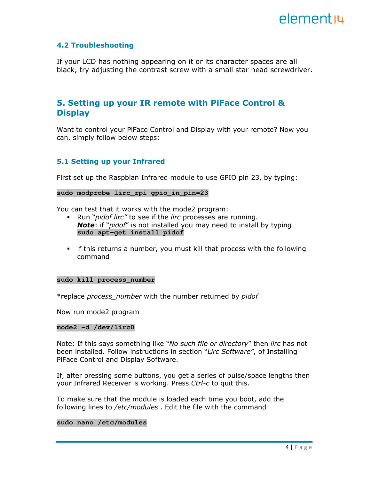

#### 4.2 Troubleshooting

If your LCD has nothing appearing on it or its character spaces are all black, try adjusting the contrast screw with a small star head screwdriver.

### 5. Setting up your IR remote with PiFace Control & **Display**

Want to control your PiFace Control and Display with your remote? Now you can, simply follow below steps:

#### 5.1 Setting up your Infrared

First set up the Raspbian Infrared module to use GPIO pin 23, by typing:

#### **sudo modprobe lirc\_rpi gpio\_in\_pin=23**

You can test that it works with the mode2 program:

- Run "pidof lirc" to see if the lirc processes are running. **Note:** if "*pidof"* is not installed you may need to install by typing **sudo apt-get install pidof**
- if this returns a number, you must kill that process with the following command

#### **sudo kill process\_number**

\*replace process\_number with the number returned by pidof

Now run mode2 program

#### **mode2 –d /dev/lirc0**

Note: If this says something like "No such file or directory" then lirc has not been installed. Follow instructions in section "Lirc Software", of Installing PiFace Control and Display Software.

If, after pressing some buttons, you get a series of pulse/space lengths then your Infrared Receiver is working. Press Ctrl-c to quit this.

To make sure that the module is loaded each time you boot, add the following lines to /etc/modules . Edit the file with the command

#### **sudo nano /etc/modules**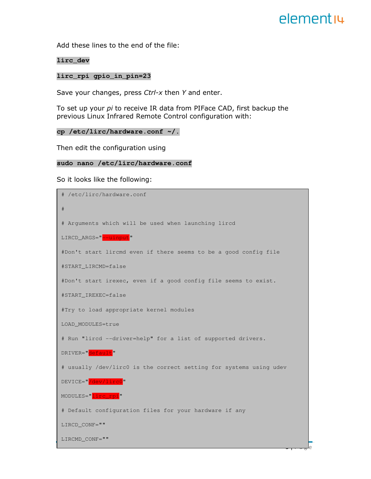Add these lines to the end of the file:

#### **lirc\_dev**

#### **lirc\_rpi gpio\_in\_pin=23**

Save your changes, press Ctrl-x then Y and enter.

To set up your pi to receive IR data from PIFace CAD, first backup the previous Linux Infrared Remote Control configuration with:

```
cp /etc/lirc/hardware.conf ~/.
```
Then edit the configuration using

#### **sudo nano /etc/lirc/hardware.conf**

So it looks like the following:

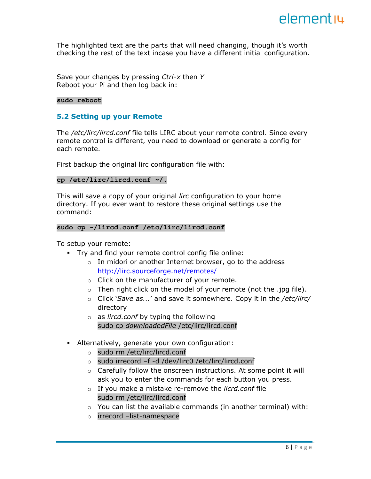The highlighted text are the parts that will need changing, though it's worth checking the rest of the text incase you have a different initial configuration.

Save your changes by pressing  $Ctrl-x$  then Y Reboot your Pi and then log back in:

#### **sudo reboot**

#### 5.2 Setting up your Remote

The /etc/lirc/lircd.conf file tells LIRC about your remote control. Since every remote control is different, you need to download or generate a config for each remote.

First backup the original lirc configuration file with:

#### **cp /etc/lirc/lircd.conf ~/.**

This will save a copy of your original *lirc* configuration to your home directory. If you ever want to restore these original settings use the command:

#### **sudo cp ~/lircd.conf /etc/lirc/lircd.conf**

To setup your remote:

- Try and find your remote control config file online:
	- $\circ$  In midori or another Internet browser, go to the address http://lirc.sourceforge.net/remotes/
	- o Click on the manufacturer of your remote.
	- $\circ$  Then right click on the model of your remote (not the .jpg file).
	- $\circ$  Click 'Save as...' and save it somewhere. Copy it in the /etc/lirc/ directory
	- $\circ$  as *lircd.conf* by typing the following sudo cp downloadedFile /etc/lirc/lircd.conf
- Alternatively, generate your own configuration:
	- o sudo rm /etc/lirc/lircd.conf
	- o sudo irrecord –f -d /dev/lirc0 /etc/lirc/lircd.conf
	- $\circ$  Carefully follow the onscreen instructions. At some point it will ask you to enter the commands for each button you press.
	- $\circ$  If you make a mistake re-remove the licrd.conf file sudo rm /etc/lirc/lircd.conf
	- $\circ$  You can list the available commands (in another terminal) with:
	- o irrecord –list-namespace